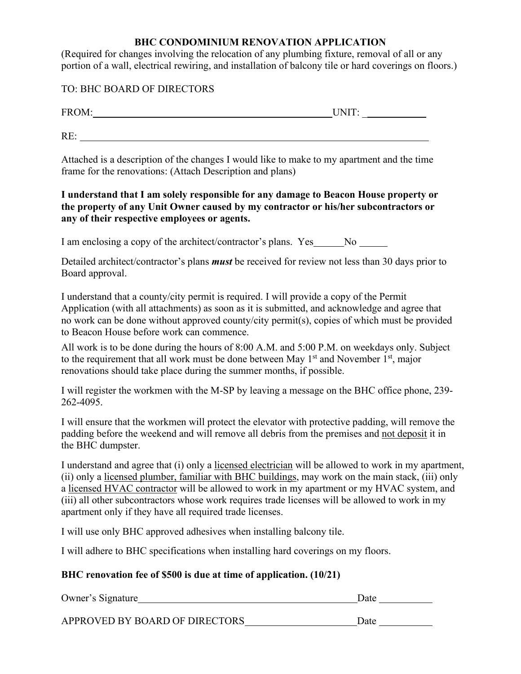## **BHC CONDOMINIUM RENOVATION APPLICATION**

(Required for changes involving the relocation of any plumbing fixture, removal of all or any portion of a wall, electrical rewiring, and installation of balcony tile or hard coverings on floors.)

TO: BHC BOARD OF DIRECTORS

| $\Gamma D$<br>. . |  |
|-------------------|--|
|                   |  |

RE:

Attached is a description of the changes I would like to make to my apartment and the time frame for the renovations: (Attach Description and plans)

**I understand that I am solely responsible for any damage to Beacon House property or the property of any Unit Owner caused by my contractor or his/her subcontractors or any of their respective employees or agents.**

I am enclosing a copy of the architect/contractor's plans. Yes No

Detailed architect/contractor's plans *must* be received for review not less than 30 days prior to Board approval.

I understand that a county/city permit is required. I will provide a copy of the Permit Application (with all attachments) as soon as it is submitted, and acknowledge and agree that no work can be done without approved county/city permit(s), copies of which must be provided to Beacon House before work can commence.

All work is to be done during the hours of 8:00 A.M. and 5:00 P.M. on weekdays only. Subject to the requirement that all work must be done between May  $1<sup>st</sup>$  and November  $1<sup>st</sup>$ , major renovations should take place during the summer months, if possible.

I will register the workmen with the M-SP by leaving a message on the BHC office phone, 239- 262-4095.

I will ensure that the workmen will protect the elevator with protective padding, will remove the padding before the weekend and will remove all debris from the premises and not deposit it in the BHC dumpster.

I understand and agree that (i) only a licensed electrician will be allowed to work in my apartment, (ii) only a licensed plumber, familiar with BHC buildings, may work on the main stack, (iii) only a licensed HVAC contractor will be allowed to work in my apartment or my HVAC system, and (iii) all other subcontractors whose work requires trade licenses will be allowed to work in my apartment only if they have all required trade licenses.

I will use only BHC approved adhesives when installing balcony tile.

I will adhere to BHC specifications when installing hard coverings on my floors.

# **BHC renovation fee of \$500 is due at time of application. (10/21)**

| Owner's Signature              | Date |  |
|--------------------------------|------|--|
|                                |      |  |
| APPROVED BY BOARD OF DIRECTORS | Date |  |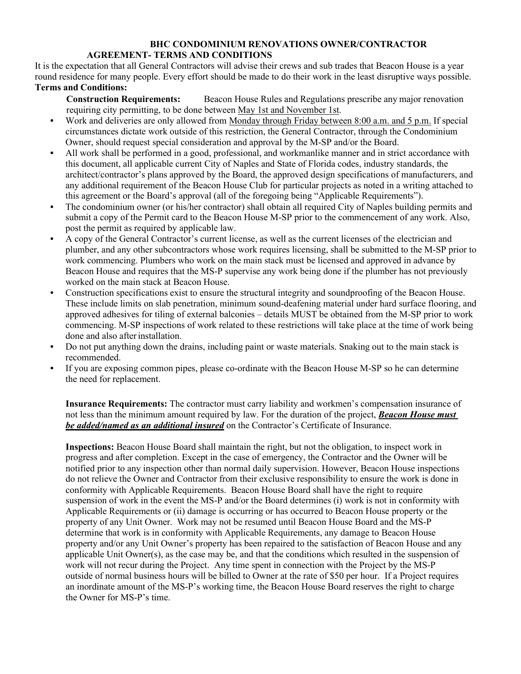### **BHC CONDOMINIUM RENOVATIONS OWNER/CONTRACTOR AGREEMENT- TERMS AND CONDITIONS**

It is the expectation that all General Contractors will advise their crews and sub trades that Beacon House is a year round residence for many people. Every effort should be made to do their work in the least disruptive ways possible. **Terms and Conditions:**

**Construction Requirements:** Beacon House Rules and Regulations prescribe any major renovation requiring city permitting, to be done between May 1st and November 1st.

- **•** Work and deliveries are only allowed from Monday through Friday between 8:00 a.m. and 5 p.m. If special circumstances dictate work outside of this restriction, the General Contractor, through the Condominium Owner, should request special consideration and approval by the M-SP and/or the Board.
- **•** All work shall be performed in a good, professional, and workmanlike manner and in strict accordance with this document, all applicable current City of Naples and State of Florida codes, industry standards, the architect/contractor's plans approved by the Board, the approved design specifications of manufacturers, and any additional requirement of the Beacon House Club for particular projects as noted in a writing attached to this agreement or the Board's approval (all of the foregoing being "Applicable Requirements").
- **•** The condominium owner (or his/her contractor) shall obtain all required City of Naples building permits and submit a copy of the Permit card to the Beacon House M-SP prior to the commencement of any work. Also, post the permit as required by applicable law.
- A copy of the General Contractor's current license, as well as the current licenses of the electrician and plumber, and any other subcontractors whose work requires licensing, shall be submitted to the M-SP prior to work commencing. Plumbers who work on the main stack must be licensed and approved in advance by Beacon House and requires that the MS-P supervise any work being done if the plumber has not previously worked on the main stack at Beacon House.
- **•** Construction specifications exist to ensure the structural integrity and soundproofing of the Beacon House. These include limits on slab penetration, minimum sound-deafening material under hard surface flooring, and approved adhesives for tiling of external balconies – details MUST be obtained from the M-SP prior to work commencing. M-SP inspections of work related to these restrictions will take place at the time of work being done and also after installation.
- **•** Do not put anything down the drains, including paint or waste materials. Snaking out to the main stack is recommended.
- If you are exposing common pipes, please co-ordinate with the Beacon House M-SP so he can determine the need for replacement.

**Insurance Requirements:** The contractor must carry liability and workmen's compensation insurance of not less than the minimum amount required by law. For the duration of the project, *Beacon House must be added/named as an additional insured* on the Contractor's Certificate of Insurance.

**Inspections:** Beacon House Board shall maintain the right, but not the obligation, to inspect work in progress and after completion. Except in the case of emergency, the Contractor and the Owner will be notified prior to any inspection other than normal daily supervision. However, Beacon House inspections do not relieve the Owner and Contractor from their exclusive responsibility to ensure the work is done in conformity with Applicable Requirements. Beacon House Board shall have the right to require suspension of work in the event the MS-P and/or the Board determines (i) work is not in conformity with Applicable Requirements or (ii) damage is occurring or has occurred to Beacon House property or the property of any Unit Owner. Work may not be resumed until Beacon House Board and the MS-P determine that work is in conformity with Applicable Requirements, any damage to Beacon House property and/or any Unit Owner's property has been repaired to the satisfaction of Beacon House and any applicable Unit Owner(s), as the case may be, and that the conditions which resulted in the suspension of work will not recur during the Project. Any time spent in connection with the Project by the MS-P outside of normal business hours will be billed to Owner at the rate of \$50 per hour. If a Project requires an inordinate amount of the MS-P's working time, the Beacon House Board reserves the right to charge the Owner for MS-P's time.